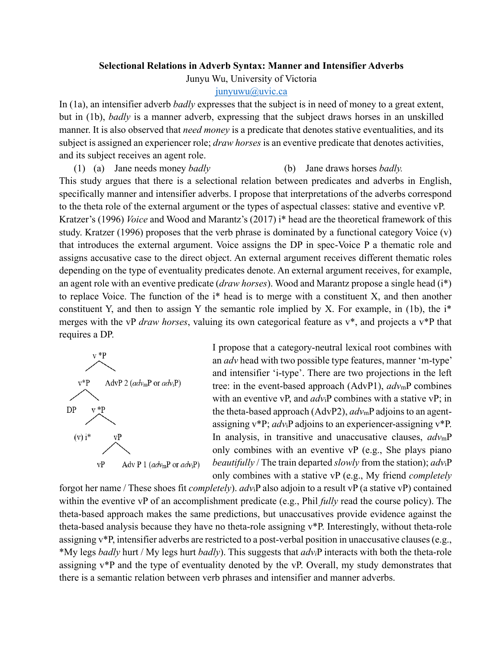## **Selectional Relations in Adverb Syntax: Manner and Intensifier Adverbs**

Junyu Wu, University of Victoria

## [junyuwu@uvic.ca](mailto:junyuwu@uvic.ca)

In (1a), an intensifier adverb *badly* expresses that the subject is in need of money to a great extent, but in (1b), *badly* is a manner adverb, expressing that the subject draws horses in an unskilled manner. It is also observed that *need money* is a predicate that denotes stative eventualities, and its subject is assigned an experiencer role; *draw horses* is an eventive predicate that denotes activities, and its subject receives an agent role.

(1) (a) Jane needs money *badly* (b) Jane draws horses *badly.* 

This study argues that there is a selectional relation between predicates and adverbs in English, specifically manner and intensifier adverbs. I propose that interpretations of the adverbs correspond to the theta role of the external argument or the types of aspectual classes: stative and eventive vP. Kratzer's (1996) *Voice* and Wood and Marantz's (2017) i\* head are the theoretical framework of this study. Kratzer (1996) proposes that the verb phrase is dominated by a functional category Voice (v) that introduces the external argument. Voice assigns the DP in spec-Voice P a thematic role and assigns accusative case to the direct object. An external argument receives different thematic roles depending on the type of eventuality predicates denote. An external argument receives, for example, an agent role with an eventive predicate (*draw horses*). Wood and Marantz propose a single head (i\*) to replace Voice. The function of the i\* head is to merge with a constituent X, and then another constituent Y, and then to assign Y the semantic role implied by X. For example, in (1b), the i\* merges with the vP *draw horses*, valuing its own categorical feature as v\*, and projects a v\*P that requires a DP.



I propose that a category-neutral lexical root combines with an *adv* head with two possible type features, manner 'm-type' and intensifier 'i-type'. There are two projections in the left tree: in the event-based approach (AdvP1), *adv*mP combines with an eventive vP, and *adv*iP combines with a stative vP; in the theta-based approach (AdvP2), *adv*mP adjoins to an agentassigning v\*P; *adv*iP adjoins to an experiencer-assigning v\*P. In analysis, in transitive and unaccusative clauses, *adv*mP only combines with an eventive vP (e.g., She plays piano *beautifully* / The train departed *slowly* from the station); *adv*iP only combines with a stative vP (e.g., My friend *completely*

forgot her name / These shoes fit *completely*). *adv*iP also adjoin to a result vP (a stative vP) contained within the eventive vP of an accomplishment predicate (e.g., Phil *fully* read the course policy). The theta-based approach makes the same predictions, but unaccusatives provide evidence against the theta-based analysis because they have no theta-role assigning v\*P. Interestingly, without theta-role assigning v\*P, intensifier adverbs are restricted to a post-verbal position in unaccusative clauses(e.g., \*My legs *badly* hurt / My legs hurt *badly*). This suggests that *advi*P interacts with both the theta-role assigning v\*P and the type of eventuality denoted by the vP. Overall, my study demonstrates that there is a semantic relation between verb phrases and intensifier and manner adverbs.